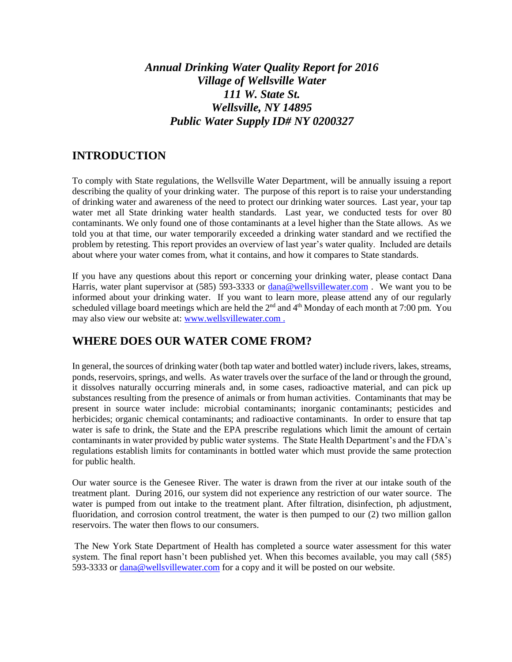# *Annual Drinking Water Quality Report for 2016 Village of Wellsville Water 111 W. State St. Wellsville, NY 14895 Public Water Supply ID# NY 0200327*

#### **INTRODUCTION**

To comply with State regulations, the Wellsville Water Department, will be annually issuing a report describing the quality of your drinking water. The purpose of this report is to raise your understanding of drinking water and awareness of the need to protect our drinking water sources. Last year, your tap water met all State drinking water health standards. Last year, we conducted tests for over 80 contaminants. We only found one of those contaminants at a level higher than the State allows. As we told you at that time, our water temporarily exceeded a drinking water standard and we rectified the problem by retesting. This report provides an overview of last year's water quality. Included are details about where your water comes from, what it contains, and how it compares to State standards.

If you have any questions about this report or concerning your drinking water, please contact Dana Harris, water plant supervisor at (585) 593-3333 or [dana@wellsvillewater.com](mailto:dana@wellsvillewater.com). We want you to be informed about your drinking water. If you want to learn more, please attend any of our regularly scheduled village board meetings which are held the 2<sup>nd</sup> and 4<sup>th</sup> Monday of each month at 7:00 pm. You may also view our website at: [www.wellsvillewater.com](http://www.wellsvillewater.com/) .

### **WHERE DOES OUR WATER COME FROM?**

In general, the sources of drinking water (both tap water and bottled water) include rivers, lakes, streams, ponds, reservoirs, springs, and wells. As water travels over the surface of the land or through the ground, it dissolves naturally occurring minerals and, in some cases, radioactive material, and can pick up substances resulting from the presence of animals or from human activities. Contaminants that may be present in source water include: microbial contaminants; inorganic contaminants; pesticides and herbicides; organic chemical contaminants; and radioactive contaminants. In order to ensure that tap water is safe to drink, the State and the EPA prescribe regulations which limit the amount of certain contaminants in water provided by public water systems. The State Health Department's and the FDA's regulations establish limits for contaminants in bottled water which must provide the same protection for public health.

Our water source is the Genesee River. The water is drawn from the river at our intake south of the treatment plant. During 2016, our system did not experience any restriction of our water source. The water is pumped from out intake to the treatment plant. After filtration, disinfection, ph adjustment, fluoridation, and corrosion control treatment, the water is then pumped to our (2) two million gallon reservoirs. The water then flows to our consumers.

The New York State Department of Health has completed a source water assessment for this water system. The final report hasn't been published yet. When this becomes available, you may call (585) 593-3333 or [dana@wellsvillewater.com](mailto:dana@wellsvillewater.com) for a copy and it will be posted on our website.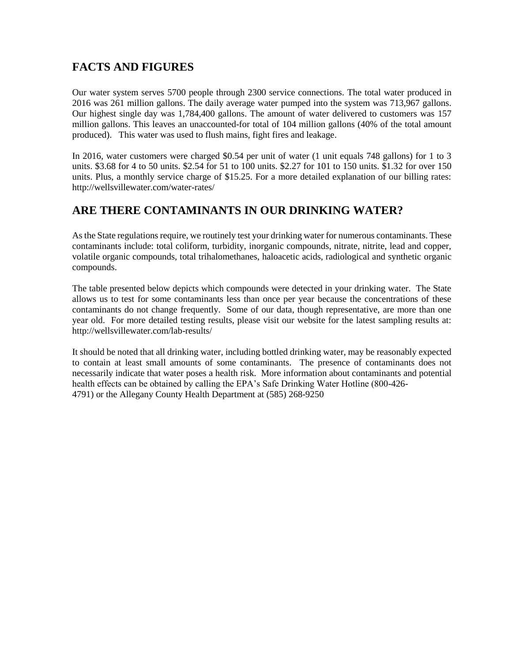# **FACTS AND FIGURES**

Our water system serves 5700 people through 2300 service connections. The total water produced in 2016 was 261 million gallons. The daily average water pumped into the system was 713,967 gallons. Our highest single day was 1,784,400 gallons. The amount of water delivered to customers was 157 million gallons. This leaves an unaccounted-for total of 104 million gallons (40% of the total amount produced). This water was used to flush mains, fight fires and leakage.

In 2016, water customers were charged \$0.54 per unit of water (1 unit equals 748 gallons) for 1 to 3 units. \$3.68 for 4 to 50 units. \$2.54 for 51 to 100 units. \$2.27 for 101 to 150 units. \$1.32 for over 150 units. Plus, a monthly service charge of \$15.25. For a more detailed explanation of our billing rates: http://wellsvillewater.com/water-rates/

# **ARE THERE CONTAMINANTS IN OUR DRINKING WATER?**

As the State regulations require, we routinely test your drinking water for numerous contaminants. These contaminants include: total coliform, turbidity, inorganic compounds, nitrate, nitrite, lead and copper, volatile organic compounds, total trihalomethanes, haloacetic acids, radiological and synthetic organic compounds.

The table presented below depicts which compounds were detected in your drinking water. The State allows us to test for some contaminants less than once per year because the concentrations of these contaminants do not change frequently. Some of our data, though representative, are more than one year old. For more detailed testing results, please visit our website for the latest sampling results at: http://wellsvillewater.com/lab-results/

It should be noted that all drinking water, including bottled drinking water, may be reasonably expected to contain at least small amounts of some contaminants. The presence of contaminants does not necessarily indicate that water poses a health risk. More information about contaminants and potential health effects can be obtained by calling the EPA's Safe Drinking Water Hotline (800-426- 4791) or the Allegany County Health Department at (585) 268-9250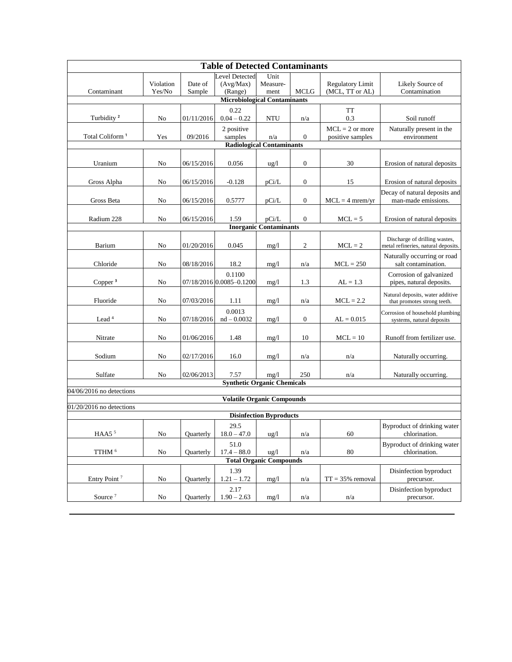| <b>Table of Detected Contaminants</b>                           |                     |                   |                                               |                               |                         |                                            |                                                                      |
|-----------------------------------------------------------------|---------------------|-------------------|-----------------------------------------------|-------------------------------|-------------------------|--------------------------------------------|----------------------------------------------------------------------|
| Contaminant                                                     | Violation<br>Yes/No | Date of<br>Sample | <b>Level Detected</b><br>(Avg/Max)<br>(Range) | Unit<br>Measure-<br>ment      | <b>MCLG</b>             | <b>Regulatory Limit</b><br>(MCL, TT or AL) | Likely Source of<br>Contamination                                    |
| <b>Microbiological Contaminants</b>                             |                     |                   |                                               |                               |                         |                                            |                                                                      |
| Turbidity <sup>2</sup>                                          | No                  | 01/11/2016        | 0.22<br>$0.04 - 0.22$                         | <b>NTU</b>                    | n/a                     | <b>TT</b><br>0.3                           | Soil runoff                                                          |
| Total Coliform <sup>1</sup>                                     | Yes                 | 09/2016           | 2 positive<br>samples                         | n/a                           | $\boldsymbol{0}$        | $MCL = 2$ or more<br>positive samples      | Naturally present in the<br>environment                              |
| <b>Radiological Contaminants</b>                                |                     |                   |                                               |                               |                         |                                            |                                                                      |
|                                                                 |                     |                   |                                               |                               |                         |                                            |                                                                      |
| Uranium                                                         | No                  | 06/15/2016        | 0.056                                         | $\frac{u}{g}$                 | $\boldsymbol{0}$        | 30                                         | Erosion of natural deposits                                          |
| Gross Alpha                                                     | No                  | 06/15/2016        | $-0.128$                                      | pCi/L                         | $\boldsymbol{0}$        | 15                                         | Erosion of natural deposits                                          |
| Gross Beta                                                      | No                  | 06/15/2016        | 0.5777                                        | pCi/L                         | $\boldsymbol{0}$        | $MCL = 4$ mrem/yr                          | Decay of natural deposits and<br>man-made emissions.                 |
| Radium 228                                                      | No                  | 06/15/2016        | 1.59                                          | pCi/L                         | $\boldsymbol{0}$        | $MCL = 5$                                  | Erosion of natural deposits                                          |
|                                                                 |                     |                   |                                               | <b>Inorganic Contaminants</b> |                         |                                            |                                                                      |
| Barium                                                          | No                  | 01/20/2016        | 0.045                                         | mg/1                          | $\overline{c}$          | $MCL = 2$                                  | Discharge of drilling wastes,<br>metal refineries, natural deposits. |
| Chloride                                                        | No                  | 08/18/2016        | 18.2                                          | mg/1                          | n/a                     | $MCL = 250$                                | Naturally occurring or road<br>salt contamination.                   |
| Copper $3$                                                      | No                  |                   | 0.1100<br>07/18/2016 0.0085-0.1200            | mg/1                          | 1.3                     | $AL = 1.3$                                 | Corrosion of galvanized<br>pipes, natural deposits.                  |
|                                                                 |                     |                   |                                               |                               |                         |                                            |                                                                      |
| Fluoride                                                        | No                  | 07/03/2016        | 1.11                                          | mg/1                          | n/a                     | $MCL = 2.2$                                | Natural deposits, water additive<br>that promotes strong teeth.      |
| Lead <sup>4</sup>                                               | No                  | 07/18/2016        | 0.0013<br>$nd - 0.0032$                       | mg/1                          | $\boldsymbol{0}$        | $AL = 0.015$                               | Corrosion of household plumbing<br>systems, natural deposits         |
| Nitrate                                                         | No                  | 01/06/2016        | 1.48                                          | mg/1                          | 10                      | $MCL = 10$                                 | Runoff from fertilizer use.                                          |
| Sodium                                                          | No                  | 02/17/2016        | 16.0                                          | mg/1                          | n/a                     | n/a                                        | Naturally occurring.                                                 |
| Sulfate                                                         | No                  | 02/06/2013        | 7.57                                          | mg/1                          | 250                     | n/a                                        | Naturally occurring.                                                 |
| <b>Synthetic Organic Chemicals</b>                              |                     |                   |                                               |                               |                         |                                            |                                                                      |
| 04/06/2016 no detections                                        |                     |                   |                                               |                               |                         |                                            |                                                                      |
| <b>Volatile Organic Compounds</b><br>$01/20/2016$ no detections |                     |                   |                                               |                               |                         |                                            |                                                                      |
| <b>Disinfection Byproducts</b>                                  |                     |                   |                                               |                               |                         |                                            |                                                                      |
| HAA5 <sup>5</sup>                                               | No                  | Quarterly         | 29.5<br>$18.0 - 47.0$                         | ug/l                          | $\mathrm{n}/\mathrm{a}$ | 60                                         | Byproduct of drinking water<br>chlorination.                         |
| TTHM <sup>6</sup>                                               | $\rm No$            | Quarterly         | 51.0<br>$17.4 - 88.0$                         | ug/1                          | n/a                     | 80                                         | Byproduct of drinking water<br>chlorination.                         |
| <b>Total Organic Compounds</b>                                  |                     |                   |                                               |                               |                         |                                            |                                                                      |
|                                                                 |                     |                   | 1.39                                          |                               |                         |                                            | Disinfection byproduct                                               |
| Entry Point <sup>7</sup>                                        | No                  | Quarterly         | $1.21 - 1.72$                                 | mg/1                          | n/a                     | $TT = 35%$ removal                         | precursor.                                                           |
| Source <sup>7</sup>                                             | No                  | Quarterly         | 2.17<br>$1.90 - 2.63$                         | mg/l                          | n/a                     | n/a                                        | Disinfection byproduct<br>precursor.                                 |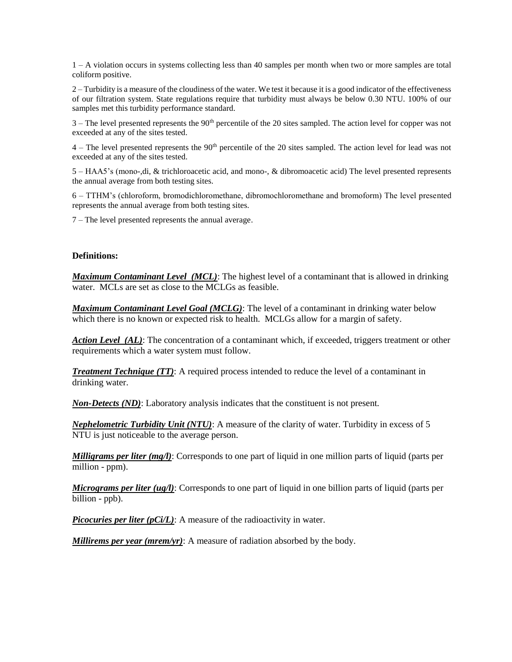1 – A violation occurs in systems collecting less than 40 samples per month when two or more samples are total coliform positive.

2 – Turbidity is a measure of the cloudiness of the water. We test it because it is a good indicator of the effectiveness of our filtration system. State regulations require that turbidity must always be below 0.30 NTU. 100% of our samples met this turbidity performance standard.

3 – The level presented represents the 90th percentile of the 20 sites sampled. The action level for copper was not exceeded at any of the sites tested.

 $4$  – The level presented represents the  $90<sup>th</sup>$  percentile of the 20 sites sampled. The action level for lead was not exceeded at any of the sites tested.

5 – HAA5's (mono-,di, & trichloroacetic acid, and mono-, & dibromoacetic acid) The level presented represents the annual average from both testing sites.

6 – TTHM's (chloroform, bromodichloromethane, dibromochloromethane and bromoform) The level presented represents the annual average from both testing sites.

7 – The level presented represents the annual average.

#### **Definitions:**

*Maximum Contaminant Level (MCL)*: The highest level of a contaminant that is allowed in drinking water. MCLs are set as close to the MCLGs as feasible.

*Maximum Contaminant Level Goal (MCLG)*: The level of a contaminant in drinking water below which there is no known or expected risk to health. MCLGs allow for a margin of safety.

*Action Level (AL)*: The concentration of a contaminant which, if exceeded, triggers treatment or other requirements which a water system must follow.

*Treatment Technique (TT)*: A required process intended to reduce the level of a contaminant in drinking water.

*Non-Detects (ND)*: Laboratory analysis indicates that the constituent is not present.

*Nephelometric Turbidity Unit (NTU)*: A measure of the clarity of water. Turbidity in excess of 5 NTU is just noticeable to the average person.

*Milligrams per liter (mg/l)*: Corresponds to one part of liquid in one million parts of liquid (parts per million - ppm).

*Micrograms per liter (ug/l)*: Corresponds to one part of liquid in one billion parts of liquid (parts per billion - ppb).

*Picocuries per liter (pCi/L)*: A measure of the radioactivity in water.

*Millirems per year (mrem/yr)*: A measure of radiation absorbed by the body.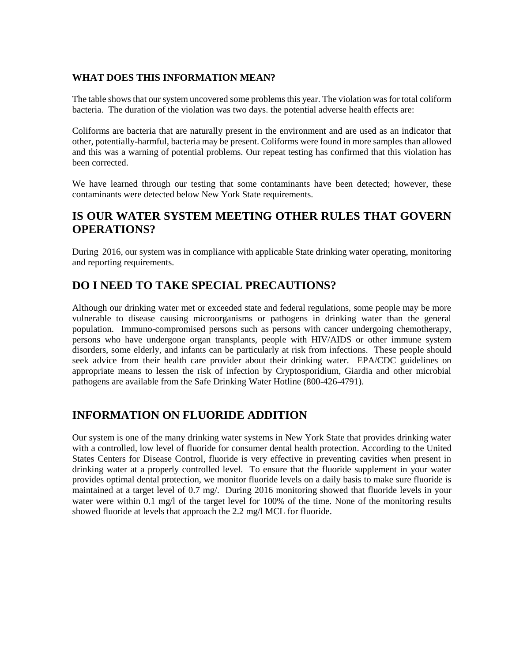#### **WHAT DOES THIS INFORMATION MEAN?**

The table shows that our system uncovered some problems this year. The violation was for total coliform bacteria. The duration of the violation was two days. the potential adverse health effects are:

Coliforms are bacteria that are naturally present in the environment and are used as an indicator that other, potentially-harmful, bacteria may be present. Coliforms were found in more samples than allowed and this was a warning of potential problems. Our repeat testing has confirmed that this violation has been corrected.

We have learned through our testing that some contaminants have been detected; however, these contaminants were detected below New York State requirements.

#### **IS OUR WATER SYSTEM MEETING OTHER RULES THAT GOVERN OPERATIONS?**

During 2016, our system was in compliance with applicable State drinking water operating, monitoring and reporting requirements.

#### **DO I NEED TO TAKE SPECIAL PRECAUTIONS?**

Although our drinking water met or exceeded state and federal regulations, some people may be more vulnerable to disease causing microorganisms or pathogens in drinking water than the general population. Immuno-compromised persons such as persons with cancer undergoing chemotherapy, persons who have undergone organ transplants, people with HIV/AIDS or other immune system disorders, some elderly, and infants can be particularly at risk from infections. These people should seek advice from their health care provider about their drinking water. EPA/CDC guidelines on appropriate means to lessen the risk of infection by Cryptosporidium, Giardia and other microbial pathogens are available from the Safe Drinking Water Hotline (800-426-4791).

#### **INFORMATION ON FLUORIDE ADDITION**

Our system is one of the many drinking water systems in New York State that provides drinking water with a controlled, low level of fluoride for consumer dental health protection. According to the United States Centers for Disease Control, fluoride is very effective in preventing cavities when present in drinking water at a properly controlled level. To ensure that the fluoride supplement in your water provides optimal dental protection, we monitor fluoride levels on a daily basis to make sure fluoride is maintained at a target level of 0.7 mg/. During 2016 monitoring showed that fluoride levels in your water were within 0.1 mg/l of the target level for 100% of the time. None of the monitoring results showed fluoride at levels that approach the 2.2 mg/l MCL for fluoride.